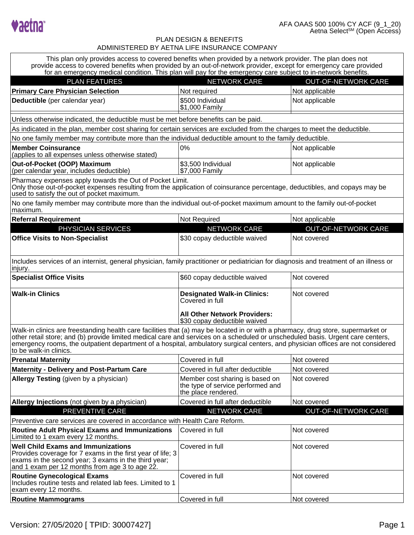

| This plan only provides access to covered benefits when provided by a network provider. The plan does not<br>provide access to covered benefits when provided by an out-of-network provider, except for emergency care provided<br>for an emergency medical condition. This plan will pay for the emergency care subject to in-network benefits.                                                                                  |                                                                                             |                            |  |  |
|-----------------------------------------------------------------------------------------------------------------------------------------------------------------------------------------------------------------------------------------------------------------------------------------------------------------------------------------------------------------------------------------------------------------------------------|---------------------------------------------------------------------------------------------|----------------------------|--|--|
| <b>PLAN FEATURES</b>                                                                                                                                                                                                                                                                                                                                                                                                              | <b>NETWORK CARE</b>                                                                         | <b>OUT-OF-NETWORK CARE</b> |  |  |
| <b>Primary Care Physician Selection</b>                                                                                                                                                                                                                                                                                                                                                                                           | Not required                                                                                | Not applicable             |  |  |
| Deductible (per calendar year)                                                                                                                                                                                                                                                                                                                                                                                                    | \$500 Individual<br>\$1,000 Family                                                          | Not applicable             |  |  |
| Unless otherwise indicated, the deductible must be met before benefits can be paid.                                                                                                                                                                                                                                                                                                                                               |                                                                                             |                            |  |  |
| As indicated in the plan, member cost sharing for certain services are excluded from the charges to meet the deductible.                                                                                                                                                                                                                                                                                                          |                                                                                             |                            |  |  |
| No one family member may contribute more than the individual deductible amount to the family deductible.                                                                                                                                                                                                                                                                                                                          |                                                                                             |                            |  |  |
| <b>Member Coinsurance</b><br>(applies to all expenses unless otherwise stated)                                                                                                                                                                                                                                                                                                                                                    | 0%                                                                                          | Not applicable             |  |  |
| Out-of-Pocket (OOP) Maximum<br>(per calendar year, includes deductible)                                                                                                                                                                                                                                                                                                                                                           | \$3,500 Individual<br>\$7,000 Family                                                        | Not applicable             |  |  |
| Pharmacy expenses apply towards the Out of Pocket Limit.<br>Only those out-of-pocket expenses resulting from the application of coinsurance percentage, deductibles, and copays may be<br>used to satisfy the out of pocket maximum.                                                                                                                                                                                              |                                                                                             |                            |  |  |
| No one family member may contribute more than the individual out-of-pocket maximum amount to the family out-of-pocket<br>maximum.                                                                                                                                                                                                                                                                                                 |                                                                                             |                            |  |  |
| <b>Referral Requirement</b>                                                                                                                                                                                                                                                                                                                                                                                                       | Not Required                                                                                | Not applicable             |  |  |
| PHYSICIAN SERVICES                                                                                                                                                                                                                                                                                                                                                                                                                | <b>NETWORK CARE</b>                                                                         | <b>OUT-OF-NETWORK CARE</b> |  |  |
| <b>Office Visits to Non-Specialist</b>                                                                                                                                                                                                                                                                                                                                                                                            | \$30 copay deductible waived                                                                | Not covered                |  |  |
| Includes services of an internist, general physician, family practitioner or pediatrician for diagnosis and treatment of an illness or<br>injury.                                                                                                                                                                                                                                                                                 |                                                                                             |                            |  |  |
| <b>Specialist Office Visits</b>                                                                                                                                                                                                                                                                                                                                                                                                   | \$60 copay deductible waived                                                                | Not covered                |  |  |
| <b>Walk-in Clinics</b>                                                                                                                                                                                                                                                                                                                                                                                                            | <b>Designated Walk-in Clinics:</b><br>Covered in full                                       | Not covered                |  |  |
|                                                                                                                                                                                                                                                                                                                                                                                                                                   | <b>All Other Network Providers:</b><br>\$30 copay deductible waived                         |                            |  |  |
| Walk-in clinics are freestanding health care facilities that (a) may be located in or with a pharmacy, drug store, supermarket or<br>other retail store; and (b) provide limited medical care and services on a scheduled or unscheduled basis. Urgent care centers,<br>emergency rooms, the outpatient department of a hospital, ambulatory surgical centers, and physician offices are not considered<br>to be walk-in clinics. |                                                                                             |                            |  |  |
| <b>Prenatal Maternity</b>                                                                                                                                                                                                                                                                                                                                                                                                         | Covered in full                                                                             | Not covered                |  |  |
| <b>Maternity - Delivery and Post-Partum Care</b>                                                                                                                                                                                                                                                                                                                                                                                  | Covered in full after deductible                                                            | Not covered                |  |  |
| Allergy Testing (given by a physician)                                                                                                                                                                                                                                                                                                                                                                                            | Member cost sharing is based on<br>the type of service performed and<br>the place rendered. | Not covered                |  |  |
| Allergy Injections (not given by a physician)                                                                                                                                                                                                                                                                                                                                                                                     | Covered in full after deductible                                                            | Not covered                |  |  |
| PREVENTIVE CARE                                                                                                                                                                                                                                                                                                                                                                                                                   | <b>NETWORK CARE</b>                                                                         | OUT-OF-NETWORK CARE        |  |  |
| Preventive care services are covered in accordance with Health Care Reform.                                                                                                                                                                                                                                                                                                                                                       |                                                                                             |                            |  |  |
| <b>Routine Adult Physical Exams and Immunizations</b><br>Limited to 1 exam every 12 months.                                                                                                                                                                                                                                                                                                                                       | Covered in full                                                                             | Not covered                |  |  |
| <b>Well Child Exams and Immunizations</b><br>Provides coverage for 7 exams in the first year of life; 3<br>exams in the second year; 3 exams in the third year;<br>and 1 exam per 12 months from age 3 to age 22.                                                                                                                                                                                                                 | Covered in full                                                                             | Not covered                |  |  |
| <b>Routine Gynecological Exams</b><br>Includes routine tests and related lab fees. Limited to 1<br>exam every 12 months.                                                                                                                                                                                                                                                                                                          | Covered in full                                                                             | Not covered                |  |  |
| <b>Routine Mammograms</b>                                                                                                                                                                                                                                                                                                                                                                                                         | Covered in full                                                                             | Not covered                |  |  |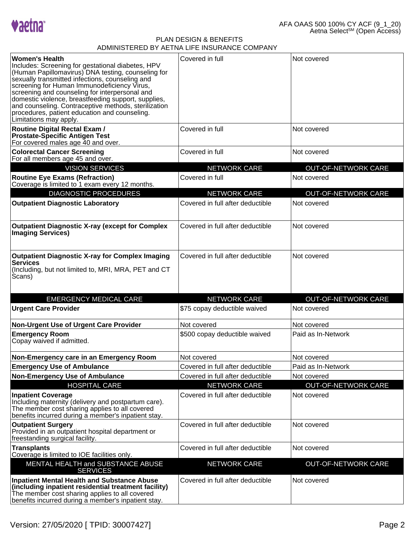

| <b>Women's Health</b><br>Includes: Screening for gestational diabetes, HPV<br>(Human Papillomavirus) DNA testing, counseling for<br>sexually transmitted infections, counseling and<br>screening for Human Immunodeficiency Virus,<br>screening and counseling for interpersonal and<br>domestic violence, breastfeeding support, supplies,<br>and counseling. Contraceptive methods, sterilization<br>procedures, patient education and counseling.<br>Limitations may apply. | Covered in full                  | Not covered                |
|--------------------------------------------------------------------------------------------------------------------------------------------------------------------------------------------------------------------------------------------------------------------------------------------------------------------------------------------------------------------------------------------------------------------------------------------------------------------------------|----------------------------------|----------------------------|
| <b>Routine Digital Rectal Exam /</b><br><b>Prostate-Specific Antigen Test</b><br>For covered males age 40 and over.                                                                                                                                                                                                                                                                                                                                                            | Covered in full                  | Not covered                |
| <b>Colorectal Cancer Screening</b><br>For all members age 45 and over.                                                                                                                                                                                                                                                                                                                                                                                                         | Covered in full                  | Not covered                |
| <b>VISION SERVICES</b>                                                                                                                                                                                                                                                                                                                                                                                                                                                         | <b>NETWORK CARE</b>              | <b>OUT-OF-NETWORK CARE</b> |
| <b>Routine Eye Exams (Refraction)</b><br>Coverage is limited to 1 exam every 12 months.                                                                                                                                                                                                                                                                                                                                                                                        | Covered in full                  | Not covered                |
| <b>DIAGNOSTIC PROCEDURES</b>                                                                                                                                                                                                                                                                                                                                                                                                                                                   | <b>NETWORK CARE</b>              | <b>OUT-OF-NETWORK CARE</b> |
| <b>Outpatient Diagnostic Laboratory</b>                                                                                                                                                                                                                                                                                                                                                                                                                                        | Covered in full after deductible | Not covered                |
| <b>Outpatient Diagnostic X-ray (except for Complex</b><br><b>Imaging Services)</b>                                                                                                                                                                                                                                                                                                                                                                                             | Covered in full after deductible | Not covered                |
| <b>Outpatient Diagnostic X-ray for Complex Imaging</b><br><b>Services</b><br>(Including, but not limited to, MRI, MRA, PET and CT<br>Scans)                                                                                                                                                                                                                                                                                                                                    | Covered in full after deductible | Not covered                |
| <b>EMERGENCY MEDICAL CARE</b>                                                                                                                                                                                                                                                                                                                                                                                                                                                  | <b>NETWORK CARE</b>              | <b>OUT-OF-NETWORK CARE</b> |
| <b>Urgent Care Provider</b>                                                                                                                                                                                                                                                                                                                                                                                                                                                    | \$75 copay deductible waived     | Not covered                |
| Non-Urgent Use of Urgent Care Provider                                                                                                                                                                                                                                                                                                                                                                                                                                         | Not covered                      | Not covered                |
| <b>Emergency Room</b><br>Copay waived if admitted.                                                                                                                                                                                                                                                                                                                                                                                                                             | \$500 copay deductible waived    | Paid as In-Network         |
| Non-Emergency care in an Emergency Room                                                                                                                                                                                                                                                                                                                                                                                                                                        | Not covered                      | Not covered                |
| <b>Emergency Use of Ambulance</b>                                                                                                                                                                                                                                                                                                                                                                                                                                              | Covered in full after deductible | Paid as In-Network         |
| <b>Non-Emergency Use of Ambulance</b>                                                                                                                                                                                                                                                                                                                                                                                                                                          | Covered in full after deductible | Not covered                |
| <b>HOSPITAL CARE</b>                                                                                                                                                                                                                                                                                                                                                                                                                                                           | <b>NETWORK CARE</b>              | <b>OUT-OF-NETWORK CARE</b> |
| <b>Inpatient Coverage</b><br>Including maternity (delivery and postpartum care).<br>The member cost sharing applies to all covered<br>benefits incurred during a member's inpatient stay.                                                                                                                                                                                                                                                                                      | Covered in full after deductible | Not covered                |
| <b>Outpatient Surgery</b><br>Provided in an outpatient hospital department or<br>freestanding surgical facility.                                                                                                                                                                                                                                                                                                                                                               | Covered in full after deductible | Not covered                |
| <b>Transplants</b><br>Coverage is limited to IOE facilities only.                                                                                                                                                                                                                                                                                                                                                                                                              | Covered in full after deductible | Not covered                |
| MENTAL HEALTH and SUBSTANCE ABUSE<br><b>SERVICES</b>                                                                                                                                                                                                                                                                                                                                                                                                                           | <b>NETWORK CARE</b>              | <b>OUT-OF-NETWORK CARE</b> |
| <b>Inpatient Mental Health and Substance Abuse</b><br>(including inpatient residential treatment facility)<br>The member cost sharing applies to all covered<br>benefits incurred during a member's inpatient stay.                                                                                                                                                                                                                                                            | Covered in full after deductible | Not covered                |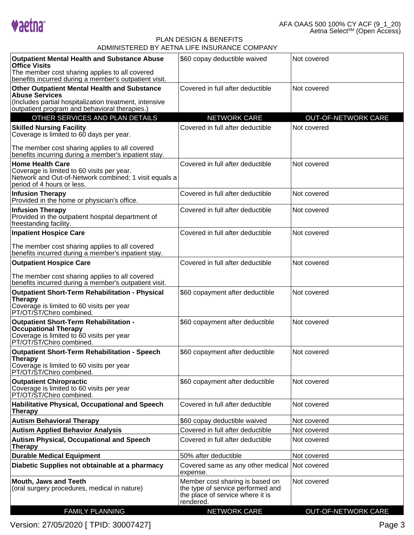

| <b>Outpatient Mental Health and Substance Abuse</b><br><b>Office Visits</b><br>The member cost sharing applies to all covered<br>benefits incurred during a member's outpatient visit.  | \$60 copay deductible waived                                                                                          | Not covered                |
|-----------------------------------------------------------------------------------------------------------------------------------------------------------------------------------------|-----------------------------------------------------------------------------------------------------------------------|----------------------------|
| <b>Other Outpatient Mental Health and Substance</b><br><b>Abuse Services</b><br>(Includes partial hospitalization treatment, intensive<br>outpatient program and behavioral therapies.) | Covered in full after deductible                                                                                      | Not covered                |
| OTHER SERVICES AND PLAN DETAILS                                                                                                                                                         | <b>NETWORK CARE</b>                                                                                                   | <b>OUT-OF-NETWORK CARE</b> |
| <b>Skilled Nursing Facility</b><br>Coverage is limited to 60 days per year.                                                                                                             | Covered in full after deductible                                                                                      | Not covered                |
| The member cost sharing applies to all covered<br>benefits incurring during a member's inpatient stay.                                                                                  |                                                                                                                       |                            |
| <b>Home Health Care</b><br>Coverage is limited to 60 visits per year.<br>Network and Out-of-Network combined; 1 visit equals a<br>period of 4 hours or less.                            | Covered in full after deductible                                                                                      | Not covered                |
| <b>Infusion Therapy</b><br>Provided in the home or physician's office.                                                                                                                  | Covered in full after deductible                                                                                      | Not covered                |
| <b>Infusion Therapy</b><br>Provided in the outpatient hospital department of<br>freestanding facility.                                                                                  | Covered in full after deductible                                                                                      | Not covered                |
| <b>Inpatient Hospice Care</b><br>The member cost sharing applies to all covered<br>benefits incurred during a member's inpatient stay.                                                  | Covered in full after deductible                                                                                      | Not covered                |
| <b>Outpatient Hospice Care</b>                                                                                                                                                          | Covered in full after deductible                                                                                      | Not covered                |
| The member cost sharing applies to all covered<br>benefits incurred during a member's outpatient visit.                                                                                 |                                                                                                                       |                            |
| <b>Outpatient Short-Term Rehabilitation - Physical</b><br><b>Therapy</b><br>Coverage is limited to 60 visits per year<br>PT/OT/ST/Chiro combined.                                       | \$60 copayment after deductible                                                                                       | Not covered                |
| <b>Outpatient Short-Term Rehabilitation -</b><br><b>Occupational Therapy</b><br>Coverage is limited to 60 visits per year<br>PT/OT/ST/Chiro combined.                                   | \$60 copayment after deductible                                                                                       | Not covered                |
| <b>Outpatient Short-Term Rehabilitation - Speech</b><br><b>Therapy</b><br>Coverage is limited to 60 visits per year<br>PT/OT/ŠT/Chiro combined.                                         | \$60 copayment after deductible                                                                                       | Not covered                |
| <b>Outpatient Chiropractic</b><br>Coverage is limited to 60 visits per year<br>PT/OT/ST/Chiro combined.                                                                                 | \$60 copayment after deductible                                                                                       | Not covered                |
| Habilitative Physical, Occupational and Speech<br><b>Therapy</b>                                                                                                                        | Covered in full after deductible                                                                                      | Not covered                |
| <b>Autism Behavioral Therapy</b>                                                                                                                                                        | \$60 copay deductible waived                                                                                          | Not covered                |
| <b>Autism Applied Behavior Analysis</b>                                                                                                                                                 | Covered in full after deductible                                                                                      | Not covered                |
| <b>Autism Physical, Occupational and Speech</b><br><b>Therapy</b>                                                                                                                       | Covered in full after deductible                                                                                      | Not covered                |
| <b>Durable Medical Equipment</b>                                                                                                                                                        | 50% after deductible                                                                                                  | Not covered                |
| Diabetic Supplies not obtainable at a pharmacy                                                                                                                                          | Covered same as any other medical<br>expense.                                                                         | <b>Not covered</b>         |
| <b>Mouth, Jaws and Teeth</b><br>(oral surgery procedures, medical in nature)                                                                                                            | Member cost sharing is based on<br>the type of service performed and<br>the place of service where it is<br>rendered. | Not covered                |
| <b>FAMILY PLANNING</b>                                                                                                                                                                  | <b>NETWORK CARE</b>                                                                                                   | <b>OUT-OF-NETWORK CARE</b> |

Version: 27/05/2020 [ TPID: 30007427]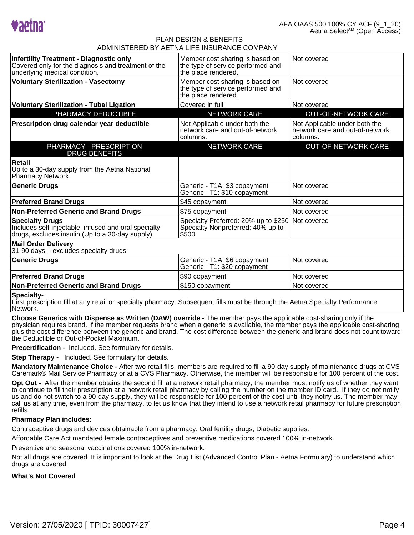

| <b>Infertility Treatment - Diagnostic only</b><br>Covered only for the diagnosis and treatment of the<br>underlying medical condition. | Member cost sharing is based on<br>the type of service performed and<br>the place rendered. | Not covered                                                                  |
|----------------------------------------------------------------------------------------------------------------------------------------|---------------------------------------------------------------------------------------------|------------------------------------------------------------------------------|
| <b>Voluntary Sterilization - Vasectomy</b>                                                                                             | Member cost sharing is based on<br>the type of service performed and<br>the place rendered. | Not covered                                                                  |
| <b>Voluntary Sterilization - Tubal Ligation</b>                                                                                        | Covered in full                                                                             | Not covered                                                                  |
| PHARMACY DEDUCTIBLE                                                                                                                    | <b>NETWORK CARE</b>                                                                         | <b>OUT-OF-NETWORK CARE</b>                                                   |
| Prescription drug calendar year deductible                                                                                             | Not Applicable under both the<br>network care and out-of-network<br>columns.                | Not Applicable under both the<br>network care and out-of-network<br>columns. |
| PHARMACY - PRESCRIPTION<br><b>DRUG BENEFITS</b>                                                                                        | <b>NETWORK CARE</b>                                                                         | <b>OUT-OF-NETWORK CARE</b>                                                   |
| Retail<br>Up to a 30-day supply from the Aetna National<br>Pharmacy Network                                                            |                                                                                             |                                                                              |
| <b>Generic Drugs</b>                                                                                                                   | Generic - T1A: \$3 copayment<br>Generic - T1: \$10 copayment                                | Not covered                                                                  |
| <b>Preferred Brand Drugs</b>                                                                                                           | \$45 copayment                                                                              | Not covered                                                                  |
| <b>Non-Preferred Generic and Brand Drugs</b>                                                                                           | \$75 copayment                                                                              | Not covered                                                                  |
| <b>Specialty Drugs</b><br>Includes self-injectable, infused and oral specialty<br>drugs, excludes insulin (Up to a 30-day supply)      | Specialty Preferred: 20% up to \$250<br>Specialty Nonpreferred: 40% up to<br>\$500          | Not covered                                                                  |
| <b>Mail Order Delivery</b><br>31-90 days - excludes specialty drugs                                                                    |                                                                                             |                                                                              |
| <b>Generic Drugs</b>                                                                                                                   | Generic - T1A: \$6 copayment<br>Generic - T1: \$20 copayment                                | Not covered                                                                  |
| <b>Preferred Brand Drugs</b>                                                                                                           | \$90 copayment                                                                              | Not covered                                                                  |
| <b>Non-Preferred Generic and Brand Drugs</b>                                                                                           | \$150 copayment                                                                             | Not covered                                                                  |
| <b>Conniclass</b>                                                                                                                      |                                                                                             |                                                                              |

#### **Specialty-**

First prescription fill at any retail or specialty pharmacy. Subsequent fills must be through the Aetna Specialty PerformanceNetwork.

**Choose Generics with Dispense as Written (DAW) override -** The member pays the applicable cost-sharing only if the physician requires brand. If the member requests brand when a generic is available, the member pays the applicable cost-sharing plus the cost difference between the generic and brand. The cost difference between the generic and brand does not count towardthe Deductible or Out-of-Pocket Maximum.

**Precertification -** Included. See formulary for details.

**Step Therapy -** Included. See formulary for details.

**Mandatory Maintenance Choice -** After two retail fills, members are required to fill a 90-day supply of maintenance drugs at CVSCaremark® Mail Service Pharmacy or at a CVS Pharmacy. Otherwise, the member will be responsible for 100 percent of the cost.

**Opt Out -** After the member obtains the second fill at a network retail pharmacy, the member must notify us of whether they want to continue to fill their prescription at a network retail pharmacy by calling the number on the member ID card. If they do not notify us and do not switch to a 90-day supply, they will be responsible for 100 percent of the cost until they notify us. The member may call us at any time, even from the pharmacy, to let us know that they intend to use a network retail pharmacy for future prescriptionrefills.

### **Pharmacy Plan includes:**

Contraceptive drugs and devices obtainable from a pharmacy, Oral fertility drugs, Diabetic supplies.

Affordable Care Act mandated female contraceptives and preventive medications covered 100% in-network.

Preventive and seasonal vaccinations covered 100% in-network.

Not all drugs are covered. It is important to look at the Drug List (Advanced Control Plan - Aetna Formulary) to understand whichdrugs are covered.

### **What's Not Covered**